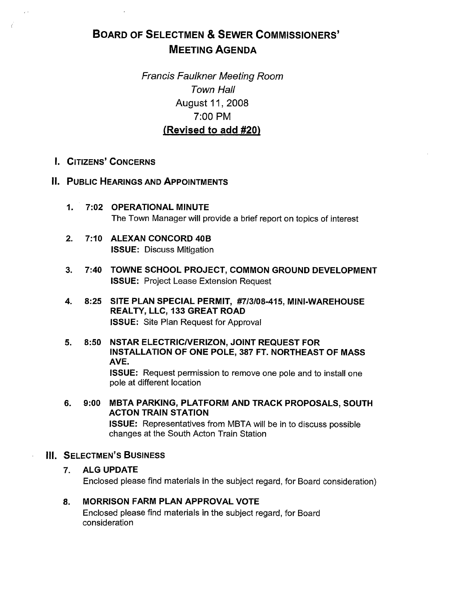# BOARD OF SELECTMEN & SEWER COMMISSIONERS' MEETING AGENDA

Francis Faulkner Meeting Room Town Hall August 11, 2008 7:00 PM (Revised to add #20)

- I. CITIZENS' CONCERNS
- II. PUBLIC HEARINGS AND APPOINTMENTS
	- 1. 7:02 OPERATIONAL MINUTE The Town Manager will provide a brief report on topics of interest
	- 2. 7:10 ALEXAN CONCORD 40B ISSUE: Discuss Mitigation
	- 3. 7:40 TOWNE SCHOOL PROJECT, COMMON GROUND DEVELOPMENT ISSUE: Project Lease Extension Request
	- 4. 8:25 SITE PLAN SPECIAL PERMIT, #713108-415, MINI-WAREHOUSE REALTY, LLC, 133 GREAT ROAD ISSUE: Site Plan Request for Approval
	- 5. 8:50 NSTAR ELECTRICIVERIZON, JOINT REQUEST FOR INSTALLATION OF ONE POLE, 387 FT. NORTHEAST OF MASS AVE.

ISSUE: Request permission to remove one pole and to install one pole at different location

6. 9:00 MBTA PARKING, PLATFORM AND TRACK PROPOSALS, SOUTH ACTON TRAIN STATION ISSUE: Representatives from MBTA will be in to discuss possible changes at the South Acton Train Station

## III. SELECTMEN'S BUSINESS

## 7. ALG UPDATE

Enclosed please find materials in the subject regard, for Board consideration)

## 8. MORRISON FARM PLAN APPROVAL VOTE

Enclosed please find materials in the subject regard, for Board consideration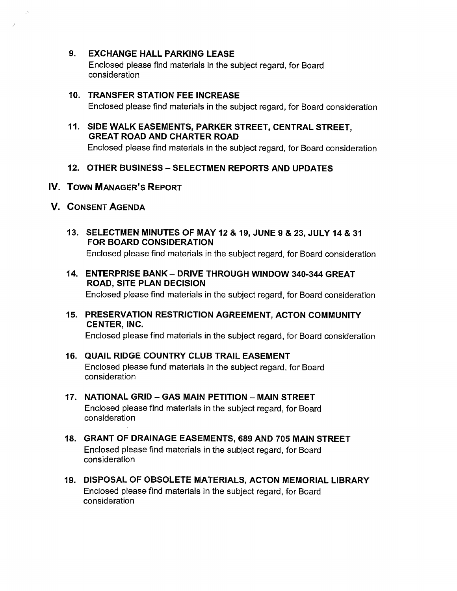9. EXCHANGE HALL PARKING LEASE

Enclosed please find materials in the subject regard, for Board consideration

# 10. TRANSFER STATION FEE INCREASE

Enclosed please find materials in the subject regard, for Board consideration

## 11. SIDE WALK EASEMENTS, PARKER STREET, CENTRAL STREET, GREAT ROAD AND CHARTER ROAD

Enclosed please find materials in the subject regard, for Board consideration

## 12. OTHER BUSINESS — SELECTMEN REPORTS AND UPDATES

- IV. TOWN MANAGER'S REPORT
- V. CONSENT AGENDA
	- 13. SELECTMEN MINUTES OF MAY 12 & 19, JUNE 9 & 23, JULY 14 & 31 FOR BOARD CONSIDERATION Enclosed please find materials in the subject regard, for Board consideration
	- 14. ENTERPRISE BANK DRIVE THROUGH WINDOW 340-344 GREAT ROAD, SITE PLAN DECISION

Enclosed please find materials in the subject regard, for Board consideration

15. PRESERVATION RESTRICTION AGREEMENT, ACTON COMMUNITY CENTER, INC.

Enclosed please find materials in the subject regard, for Board consideration

- 16. QUAIL RIDGE COUNTRY CLUB TRAIL EASEMENT Enclosed please fund materials in the subject regard, for Board consideration
- 17. NATIONAL GRID GAS MAIN PETITION MAIN STREET Enclosed please find materials in the subject regard, for Board consideration
- 18. GRANT OF DRAINAGE EASEMENTS, 689 AND 705 MAIN STREET Enclosed please find materials in the subject regard, for Board consideration
- 19. DISPOSAL OF OBSOLETE MATERIALS, ACTON MEMORIAL LIBRARY Enclosed please find materials in the subject regard, for Board consideration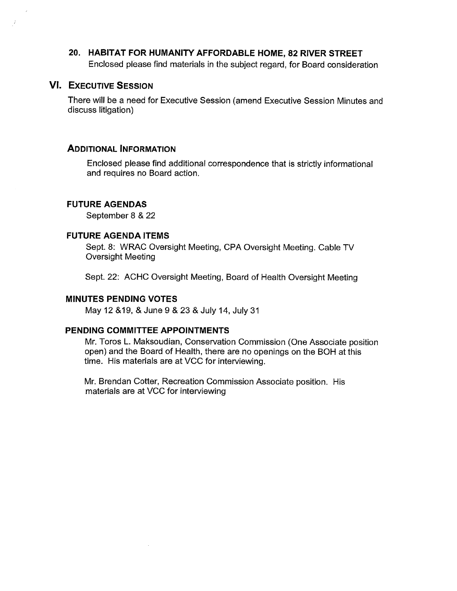20. HABITAT FOR HUMANITY AFFORDABLE HOME, 82 RIVER STREET Enclosed please find materials in the subject regard, for Board consideration

## VI. EXECUTIVE SESSION

- 7

There will be a need for Executive Session (amend Executive Session Minutes and discuss litigation)

#### ADDITIONAL INFORMATION

Enclosed please find additional correspondence that is strictly informational and requires no Board action.

#### FUTURE AGENDAS

September 8 & 22

#### FUTURE AGENDA ITEMS

Sept. 8: WRAC Oversight Meeting, CPA Oversight Meeting. Cable TV Oversight Meeting

Sept. 22: ACHC Oversight Meeting, Board of Health Oversight Meeting

#### MINUTES PENDING VOTES

May 12 &19, & June 9 & 23 & July 14, July 31

#### PENDING COMMITTEE APPOINTMENTS

Mr. Toros L. Maksoudian, Conservation Commission (One Associate position open) and the Board of Health, there are no openings on the BOH at this time. His materials are at VCC for interviewing.

Mr. Brendan Cotter, Recreation Commission Associate position. His materials are at VCC for interviewing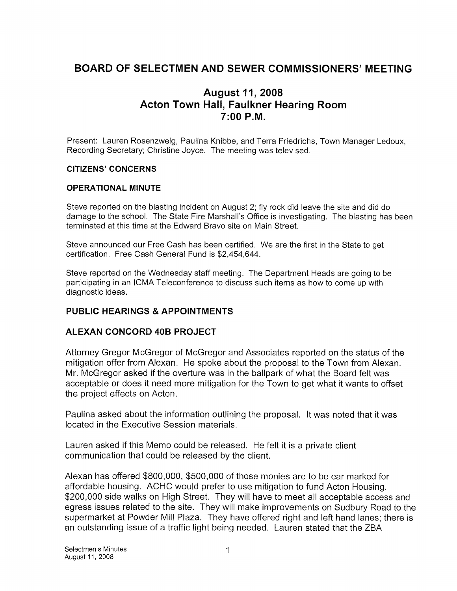## BOARD OF SELECTMEN AND SEWER COMMISSIONERS' MEETING

## August 11,2008 Acton Town Hall, Faulkner Hearing Room 7:00 PM.

Present: Lauren Rosenzweig, Paulina Knibbe, and Terra Friedrichs, Town Manager Ledoux, Recording Secretary; Christine Joyce. The meeting was televised.

## CITIZENS' CONCERNS

## OPERATIONAL MINUTE

Steve reported on the blasting incident on August 2; fly rock did leave the site and did do damage to the school. The State Fire Marshall's Office is investigating. The blasting has been terminated at this time at the Edward Bravo site on Main Street.

Steve announced our Free Cash has been certified. We are the first in the State to get certification. Free Cash General Fund is \$2,454,644.

Steve reported on the Wednesday staff meeting. The Department Heads are going to be participating in an ICMA Teleconference to discuss such items as how to come up with diagnostic ideas.

## PUBLIC HEARINGS & APPOINTMENTS

## ALEXAN CONCORD 40B PROJECT

Attorney Gregor McGregor of McGregor and Associates reported on the status of the mitigation offer from Alexan. He spoke about the proposal to the Town from Alexan. Mr. McGregor asked if the overture was in the ballpark of what the Board felt was acceptable or does it need more mitigation for the Town to get what it wants to offset the project effects on Acton.

Paulina asked about the information outlining the proposal. It was noted that it was located in the Executive Session materials.

Lauren asked if this Memo could be released. He felt it is a private client communication that could be released by the client.

Alexan has offered \$800,000, \$500,000 of those monies are to be ear marked for affordable housing. ACHC would prefer to use mitigation to fund Acton Housing. \$200,000 side walks on High Street. They will have to meet all acceptable access and egress issues related to the site. They will make improvements on Sudbury Road to the supermarket at Powder Mill Plaza. They have offered right and left hand lanes; there is an outstanding issue of a traffic light being needed. Lauren stated that the ZBA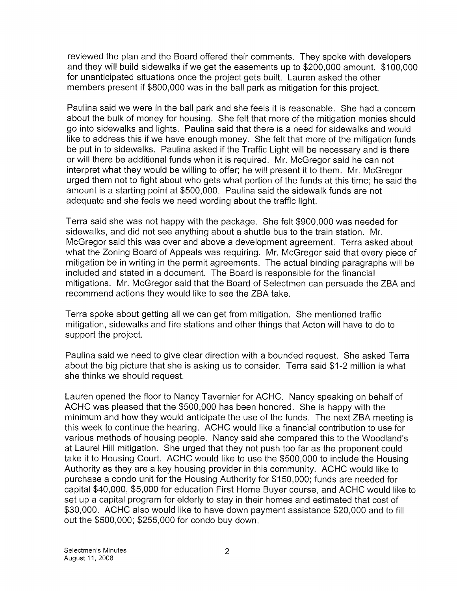reviewed the plan and the Board offered their comments. They spoke with developers and they will build sidewalks if we get the easements up to \$200,000 amount. \$100,000 for unanticipated situations once the project gets built. Lauren asked the other members present if \$800,000 was in the ball park as mitigation for this project,

Paulina said we were in the ball park and she feels it is reasonable. She had a concern about the bulk of money for housing. She felt that more of the mitigation monies should go into sidewalks and lights. Paulina said that there is a need for sidewalks and would like to address this if we have enough money. She felt that more of the mitigation funds be put in to sidewalks. Paulina asked if the Traffic Light will be necessary and is there or will there be additional funds when it is required. Mr. McGregor said he can not interpret what they would be willing to offer; he will present it to them. Mr. McGregor urged them not to fight about who gets what portion of the funds at this time; he said the amount is a starting point at \$500,000. Paulina said the sidewalk funds are not adequate and she feels we need wording about the traffic light.

Terra said she was not happy with the package. She felt \$900,000 was needed for sidewalks, and did not see anything about a shuttle bus to the train station. Mr. McGregor said this was over and above a development agreement. Terra asked about what the Zoning Board of Appeals was requiring. Mr. McGregor said that every piece of mitigation be in writing in the permit agreements. The actual binding paragraphs will be included and stated in a document. The Board is responsible for the financial mitigations. Mr. McGregor said that the Board of Selectmen can persuade the ZBA and recommend actions they would like to see the ZBA take.

Terra spoke about getting all we can get from mitigation. She mentioned traffic mitigation, sidewalks and fire stations and other things that Acton will have to do to support the project.

Paulina said we need to give clear direction with a bounded request. She asked Terra about the big picture that she is asking us to consider. Terra said \$1-2 million is what she thinks we should request.

Lauren opened the floor to Nancy Tavernier for ACHC. Nancy speaking on behalf of ACHC was pleased that the \$500,000 has been honored. She is happy with the minimum and how they would anticipate the use of the funds. The next ZBA meeting is this week to continue the hearing. ACHC would like a financial contribution to use for various methods of housing people. Nancy said she compared this to the Woodland's at Laurel Hill mitigation. She urged that they not push too far as the proponent could take it to Housing Court. ACHC would like to use the \$500,000 to include the Housing Authority as they are a key housing provider in this community. ACHC would like to purchase a condo unit for the Housing Authority for \$1 50,000; funds are needed for capital \$40,000, \$5,000 for education First Home Buyer course, and ACHC would like to set up a capital program for elderly to stay in their homes and estimated that cost of \$30,000. ACHC also would like to have down payment assistance \$20,000 and to fill out the \$500,000; \$255,000 for condo buy down.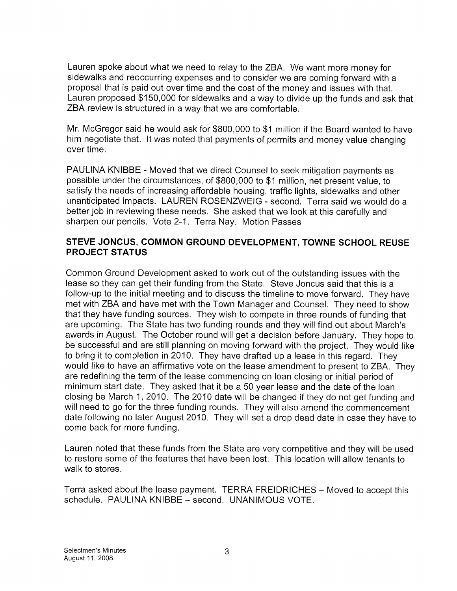Lauren spoke about what we need to relay to the ZBA. We want more money for sidewalks and reoccurring expenses and to consider we are coming forward with a proposal that is paid out over time and the cost of the money and issues with that. Lauren proposed \$150,000 for sidewalks and a way to divide up the funds and ask that ZBA review is structured in a way that we are comfortable.

Mr. McGregor said he would ask for  $$800,000$  to  $$1$  million if the Board wanted to have him negotiate that. It was noted that payments of permits and money value changing over time.

PAULINA KNIBBE - Moved that we direct Counsel to seek mitigation payments as possible under the circumstances, of \$800,000 to \$1 million, net present value, to satisfy the needs of increasing affordable housing, traffic lights, sidewalks and other unanticipated impacts. LAUREN ROSENZWEIG - second. Terra said we would do a better job in reviewing these needs. She asked that we look at this carefully and sharpen our pencils. Vote 2-1. Terra Nay. Motion Passes

## STEVE JONCUS, COMMON GROUND DEVELOPMENT, TOWNE SCHOOL REUSE PROJECT STATUS

Common Ground Development asked to work out of the outstanding issues with the lease so they can get their funding from the State. Steve Joncus said that this is a follow-up to the initial meeting and to discuss the timeline to move forward. They have met with ZBA and have met with the Town Manager and Counsel. They need to show that they have funding sources. They wish to compete in three rounds of funding that are upcoming. The State has two funding rounds and they will find out about March's awards in August. The October round will get a decision before January. They hope to be successful and are still planning on moving forward with the project. They would like to bring it to completion in 2010. They have drafted up a lease in this regard. They would like to have an affirmative vote on the lease amendment to present to ZBA. They are redefining the term of the lease commencing on loan closing or initial period of minimum start date. They asked that it be a 50 year lease and the date of the loan closing be March 1, 2010. The 2010 date will be changed if they do not get funding and will need to go for the three funding rounds. They will also amend the commencement date following no later August 2010. They will set a drop dead date in case they have to come back for more funding.

Lauren noted that these funds from the State are very competitive and they will be used to restore some of the features that have been lost. This location will allow tenants to walk to stores.

Terra asked about the lease payment. TERRA FREIDRICHES — Moved to accept this schedule. PAULINA KNIBBE — second. UNANIMOUS VOTE.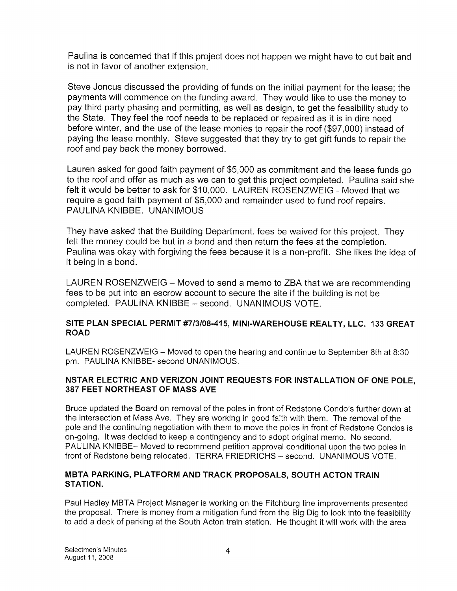Paulina is concerned that if this project does not happen we might have to cut bait and is not in favor of another extension.

Steve Joncus discussed the providing of funds on the initial payment for the lease; the payments will commence on the funding award. They would like to use the money to pay third party phasing and permitting, as well as design, to get the feasibility study to the State. They feel the roof needs to be replaced or repaired as it is in dire need before winter, and the use of the lease monies to repair the roof (\$97,000) instead of paying the lease monthly. Steve suggested that they try to get gift funds to repair the roof and pay back the money borrowed.

Lauren asked for good faith payment of \$5,000 as commitment and the lease funds go to the roof and offer as much as we can to get this project completed. Paulina said she felt it would be better to ask for \$10,000. LAUREN ROSENZWEIG - Moved that we require a good faith payment of \$5,000 and remainder used to fund roof repairs. PAULINA KNIBBE. UNANIMOUS

They have asked that the Building Department. fees be waived for this project. They felt the money could be but in a bond and then return the fees at the completion. Paulina was okay with forgiving the fees because it is a non-profit. She likes the idea of it being in a bond.

LAUREN ROSENZWEIG — Moved to send a memo to ZBA that we are recommending fees to be put into an escrow account to secure the site if the building is not be completed. PAULINA KNIBBE — second. UNANIMOUS VOTE.

## SITE PLAN SPECIAL PERMIT #7/3/08-415, MINI-WAREHOUSE REALTY, LLC. 133 GREAT ROAD

LAUREN ROSENZWEIG — Moved to open the hearing and continue to September 8th at 8:30 pm. PAULINA KNIBBE- second UNANIMOUS.

## NSTAR ELECTRIC AND VERIZON JOINT REQUESTS FOR INSTALLATION OF ONE POLE, 387 FEET NORTHEAST OF MASS AVE

Bruce updated the Board on removal of the poles in front of Redstone Condo's further down at the intersection at Mass Ave. They are working in good faith with them. The removal of the pole and the continuing negotiation with them to move the poles in front of Redstone Condos is on-going. It was decided to keep a contingency and to adopt original memo. No second. PAULINA KNIBBE— Moved to recommend petition approval conditional upon the two poles in front of Redstone being relocated. TERRA FRIEDRICHS — second. UNANIMOUS VOTE.

## MBTA PARKING, PLATFORM AND TRACK PROPOSALS, SOUTH ACTON TRAIN STATION.

Paul Hadley MBTA Project Manager is working on the Fitchburg line improvements presented the proposal. There is money from a mitigation fund from the Big Dig to look into the feasibility to add a deck of parking at the South Acton train station. He thought it will work with the area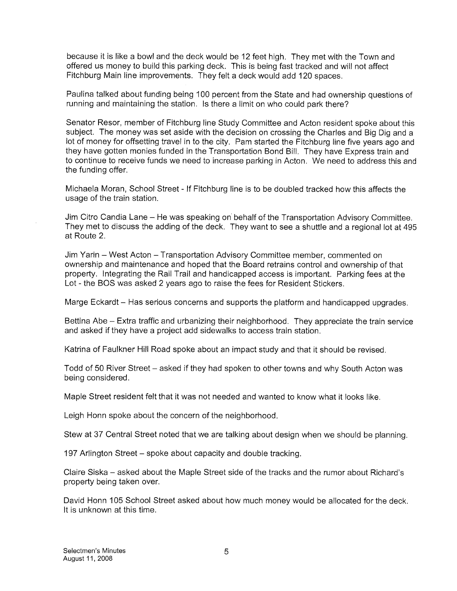because it is like a bowl and the deck would be 12 feet high. They met with the Town and offered us money to build this parking deck. This is being fast tracked and will not affect Fitchburg Main line improvements. They felt a deck would add 120 spaces.

Paulina talked about funding being 100 percent from the State and had ownership questions of running and maintaining the station. Is there a limit on who could park there?

Senator Resor, member of Fitchburg line Study Committee and Acton resident spoke about this subject. The money was set aside with the decision on crossihg the Charles and Big Dig and a lot of money for offsetting travel in to the city. Pam started the Fitchburg line five years ago and they have gotten monies funded in the Transportation Bond Bill. They have Express train and to continue to receive funds we need to increase parking in Acton. We need to address this and the funding offer.

Michaela Moran, School Street - If Fitchburg line is to be doubled tracked how this affects the usage of the train station.

Jim Citro Candia Lane — He was speaking on behalf of the Transportation Advisory Committee. They met to discuss the adding of the deck. They want to see a shuttle and a regional lot at 495 at Route 2.

Jim Yarin — West Acton — Transportation Advisory Committee member, commented on ownership and maintenance and hoped that the Board retrains control and ownership of that property. Integrating the Rail Trail and handicapped access is important. Parking fees at the Lot - the BOS was asked 2 years ago to raise the fees for Resident Stickers.

Marge Eckardt — Has serious concerns and supports the platform and handicapped upgrades.

Bettina Abe — Extra traffic and urbanizing their neighborhood. They appreciate the train service and asked if they have a project add sidewalks to access train station.

Katrina of Faulkner Hill Road spoke about an impact study and that it should be revised.

Todd of 50 River Street — asked if they had spoken to other towns and why South Acton was being considered.

Maple Street resident felt that it was not needed and wanted to know what it looks like.

Leigh Honn spoke about the concern of the neighborhood.

Stew at 37 Central Street noted that we are talking about design when we should be planning.

197 Arlington Street — spoke about capacity and double tracking.

Claire Siska — asked about the Maple Street side of the tracks and the rumor about Richard's property being taken over.

David Honn 105 School Street asked about how much money would be allocated for the deck. It is unknown at this time.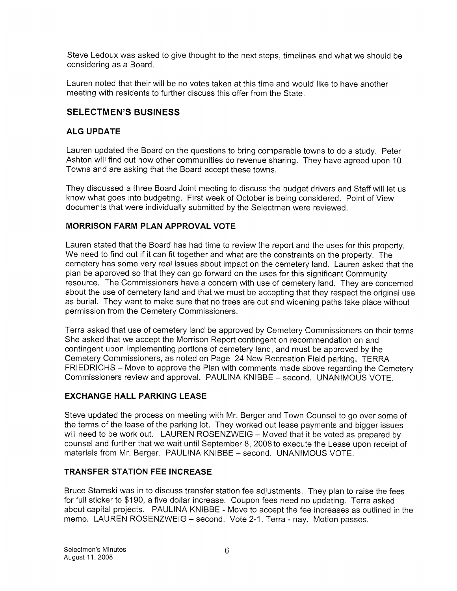Steve Ledoux was asked to give thought to the next steps, timelines and what we should be considering as a Board.

Lauren noted that their will be no votes taken at this time and would like to have another meeting with residents to further discuss this offer from the State.

## SELECTMEN'S BUSINESS

## ALG UPDATE

Lauren updated the Board on the questions to bring comparable towns to do a study. Peter Ashton will find out how other communities do revenue sharing. They have agreed upon 10 Towns and are asking that the Board accept these towns.

They discussed a three Board Joint meeting to discuss the budget drivers and Staff will let us know what goes into budgeting. First week of October is being considered. Point of View documents that were individually submitted by the Selectmen were reviewed.

## MORRISON FARM PLAN APPROVAL VOTE

Lauren stated that the Board has had time to review the report and the uses for this property. We need to find out if it can fit together and what are the constraints on the property. The cemetery has some very real issues about impact on the cemetery land. Lauren asked that the plan be approved so that they can go forward on the uses for this significant Community resource. The Commissioners have a concern with use of cemetery land. They are concerned about the use of cemetery land and that we must be accepting that they respect the original use as burial. They want to make sure that no trees are cut and widening paths take place without permission from the Cemetery Commissioners.

Terra asked that use of cemetery land be approved by Cemetery Commissioners on their terms. She asked that we accept the Morrison Report contingent on recommendation on and contingent upon implementing portions of cemetery land, and must be approved by the Cemetery Commissioners, as noted on Page 24 New Recreation Field parking. TERRA FRIEDRICHS — Move to approve the Plan with comments made above regarding the Cemetery Commissioners review and approval. PAULINA KNIBBE — second. UNANIMOUS VOTE.

## EXCHANGE HALL PARKING LEASE

Steve updated the process on meeting with Mr. Berger and Town Counsel to go over some of the terms of the lease of the parking lot. They worked out lease payments and bigger issues will need to be work out. LAUREN ROSENZWEIG - Moved that it be voted as prepared by counsel and further that we wait until September 8, 2008 to execute the Lease upon receipt of materials from Mr. Berger. PAULINA KNIBBE — second. UNANIMOUS VOTE.

## TRANSFER STATION FEE INCREASE

Bruce Stamski was in to discuss transfer station fee adjustments. They plan to raise the fees for full sticker to \$190, a five dollar increase. Coupon fees need no updating. Terra asked about capital projects. PAULINA KNIBBE - Move to accept the fee increases as outlined in the memo. LAUREN ROSENZWEIG — second. Vote 2-1. Terra - nay. Motion passes.